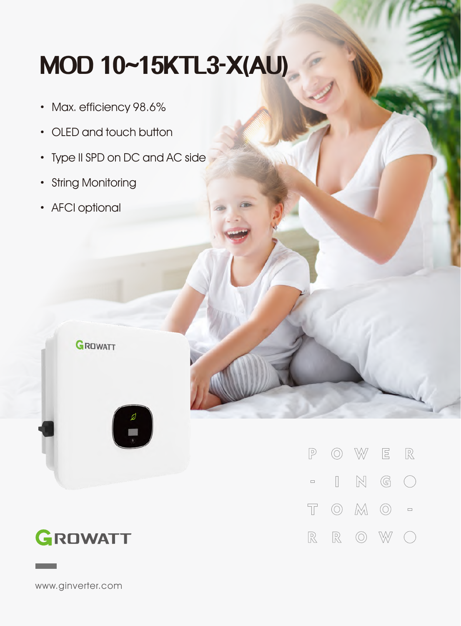## **MOD10~15KTL3-X(AU)**

- · Max. efficiency 98.6%
- · OLED and touch button
- Type II SPD on DC and AC side
- · String Monitoring

GROWATT

· AFCI optional





www.ginverter.com